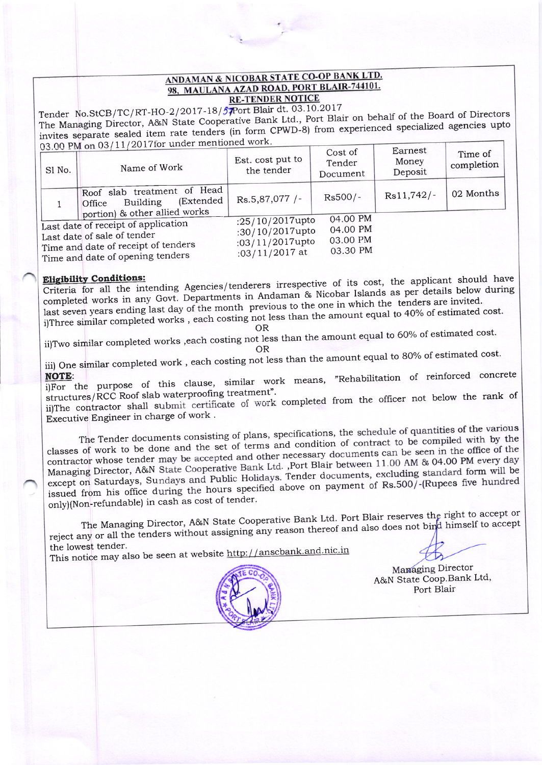## ANDAMAN & NICOBAR STATE CO-OP BANK LTD. 98, MAULANA AZAD ROAD, PORT BLAIR-744101. **RE-TENDER NOTICE**

Tender No.StCB/TC/RT-HO-2/2017-18/57Port Blair dt. 03.10.2017 The Managing Director, A&N State Cooperative Bank Ltd., Port Blair on behalf of the Board of Directors invites separate sealed item rate tenders (in form CPWD-8) from experienced specialized agencies upto 03.00 PM on 03/11/2017for under mentioned work.

| Sl No. | Name of Work                                                                                                                                  | Est. cost put to<br>the tender                                          | Cost of<br>Tender<br>Document                | Larnest<br>Money<br>Deposit | Time of<br>completion |
|--------|-----------------------------------------------------------------------------------------------------------------------------------------------|-------------------------------------------------------------------------|----------------------------------------------|-----------------------------|-----------------------|
|        | Roof slab treatment of Head<br>(Extended)<br><b>Building</b><br>Office<br>portion) & other allied works                                       | Rs.5,87,077 /-                                                          | $Rs500/-$                                    | $Rs11,742/-$                | 02 Months             |
|        | Last date of receipt of application<br>Last date of sale of tender<br>Time and date of receipt of tenders<br>Time and date of opening tenders | :25/10/2017upto<br>:30/10/2017upto<br>:03/11/2017upto<br>:03/11/2017 at | 04.00 PM<br>04.00 PM<br>03.00 PM<br>03.30 PM |                             |                       |

Criteria for all the intending Agencies/tenderers irrespective of its cost, the applicant should have completed works in any Govt. Departments in Andaman & Nicobar Islands as per details below during last seven years ending last day of the month previous to the one in which the tenders are invited. i)Three similar completed works, each costing not less than the amount equal to 40% of estimated cost.

**OR** ii)Two similar completed works , each costing not less than the amount equal to 60% of estimated cost.

**OR** 

iii) One similar completed work, each costing not less than the amount equal to 80% of estimated cost.

i)For the purpose of this clause, similar work means, "Rehabilitation of reinforced concrete structures/RCC Roof slab waterproofing treatment".

ii)The contractor shall submit certificate of work completed from the officer not below the rank of Executive Engineer in charge of work.

The Tender documents consisting of plans, specifications, the schedule of quantities of the various classes of work to be done and the set of terms and condition of contract to be compiled with by the contractor whose tender may be accepted and other necessary documents can be seen in the office of the Managing Director, A&N State Cooperative Bank Ltd. ,Port Blair between 11.00 AM & 04.00 PM every day except on Saturdays, Sundays and Public Holidays. Tender documents, excluding standard form will be issued from his office during the hours specified above on payment of Rs.500/-(Rupees five hundred only)(Non-refundable) in cash as cost of tender.

The Managing Director, A&N State Cooperative Bank Ltd. Port Blair reserves the right to accept or reject any or all the tenders without assigning any reason thereof and also does not bind himself to accept the lowest tender.

This notice may also be seen at website http://anscbank.and.nic.in



Managing Director A&N State Coop.Bank Ltd, Port Blair